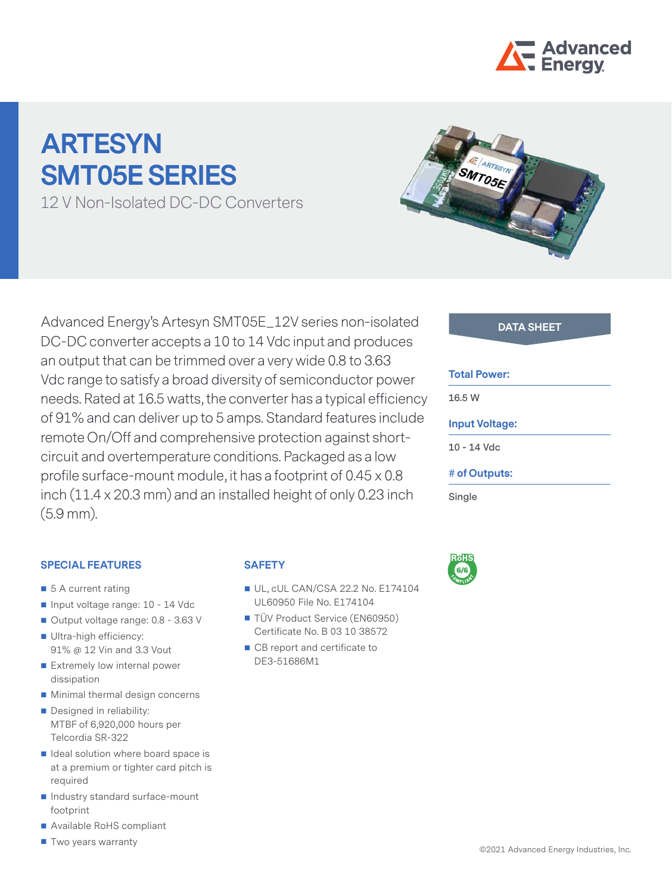

# **ARTESYN SMT05E SERIES**

12 V Non-Isolated DC-DC Converters



### **SPECIAL FEATURES**

- 5 A current rating
- Input voltage range: 10 14 Vdc
- Output voltage range: 0.8 3.63 V
- Ultra-high efficiency: 91% @ 12 Vin and 3.3 Vout
- Extremely low internal power dissipation
- **Minimal thermal design concerns**
- Designed in reliability: MTBF of 6,920,000 hours per Telcordia SR-322
- $\blacksquare$  Ideal solution where board space is at a premium or tighter card pitch is required
- Industry standard surface-mount footprint
- Available RoHS compliant
- **T** Two years warranty

### **SAFETY**

- UL, cUL CAN/CSA 22.2 No. E174104 UL60950 File No. E174104
- TÜV Product Service (EN60950) Certificate No. B 03 10 38572
- CB report and certificate to DE3-51686M1



#### **Total Power:**

**16.5 W**

#### **Input Voltage:**

**10 - 14 Vdc**

#### **# of Outputs:**

**Single**

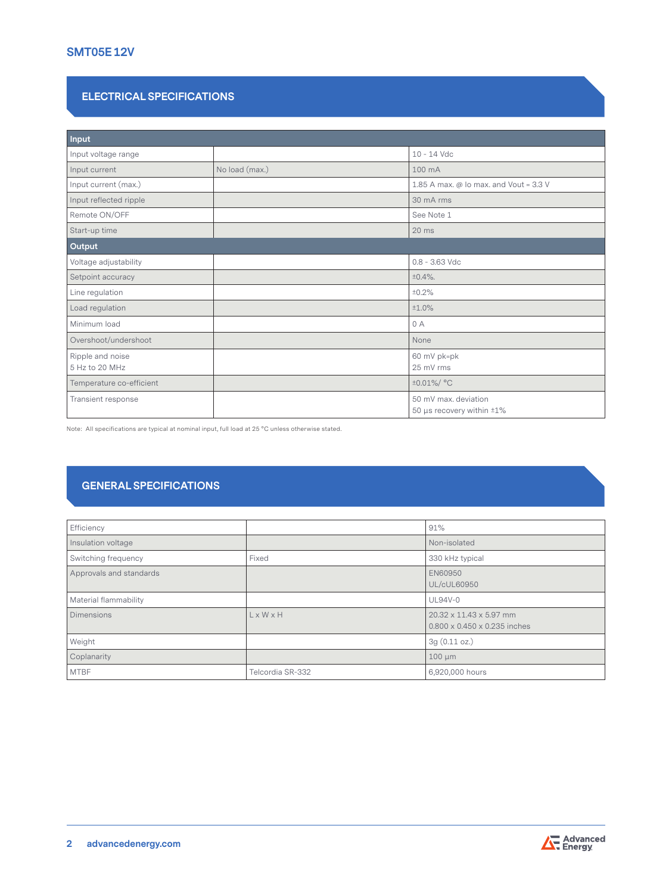## **SMT05E 12V**

#### **ELECTRICAL SPECIFICATIONS**

| Input                              |                |                                                   |
|------------------------------------|----------------|---------------------------------------------------|
| Input voltage range                |                | 10 - 14 Vdc                                       |
| Input current                      | No load (max.) | 100 mA                                            |
| Input current (max.)               |                | 1.85 A max. @ Io max. and Vout = 3.3 V            |
| Input reflected ripple             |                | 30 mA rms                                         |
| Remote ON/OFF                      |                | See Note 1                                        |
| Start-up time                      |                | $20$ ms                                           |
| Output                             |                |                                                   |
| Voltage adjustability              |                | $0.8 - 3.63$ Vdc                                  |
| Setpoint accuracy                  |                | $±0.4\%$ .                                        |
| Line regulation                    |                | ±0.2%                                             |
| Load regulation                    |                | ±1.0%                                             |
| Minimum load                       |                | 0A                                                |
| Overshoot/undershoot               |                | None                                              |
| Ripple and noise<br>5 Hz to 20 MHz |                | 60 mV pk=pk<br>25 mV rms                          |
| Temperature co-efficient           |                | ±0.01%/ °C                                        |
| Transient response                 |                | 50 mV max, deviation<br>50 µs recovery within ±1% |

Note: All specifications are typical at nominal input, full load at 25 °C unless otherwise stated.

## **GENERAL SPECIFICATIONS**

| Efficiency              |                       | 91%                                                                 |
|-------------------------|-----------------------|---------------------------------------------------------------------|
| Insulation voltage      |                       | Non-isolated                                                        |
| Switching frequency     | Fixed                 | 330 kHz typical                                                     |
| Approvals and standards |                       | EN60950<br>UL/cUL60950                                              |
| Material flammability   |                       | <b>UL94V-0</b>                                                      |
| <b>Dimensions</b>       | $L \times W \times H$ | 20.32 x 11.43 x 5.97 mm<br>$0.800 \times 0.450 \times 0.235$ inches |
| Weight                  |                       | 3g(0.11 oz.)                                                        |
| Coplanarity             |                       | $100 \mu m$                                                         |
| <b>MTBF</b>             | Telcordia SR-332      | 6,920,000 hours                                                     |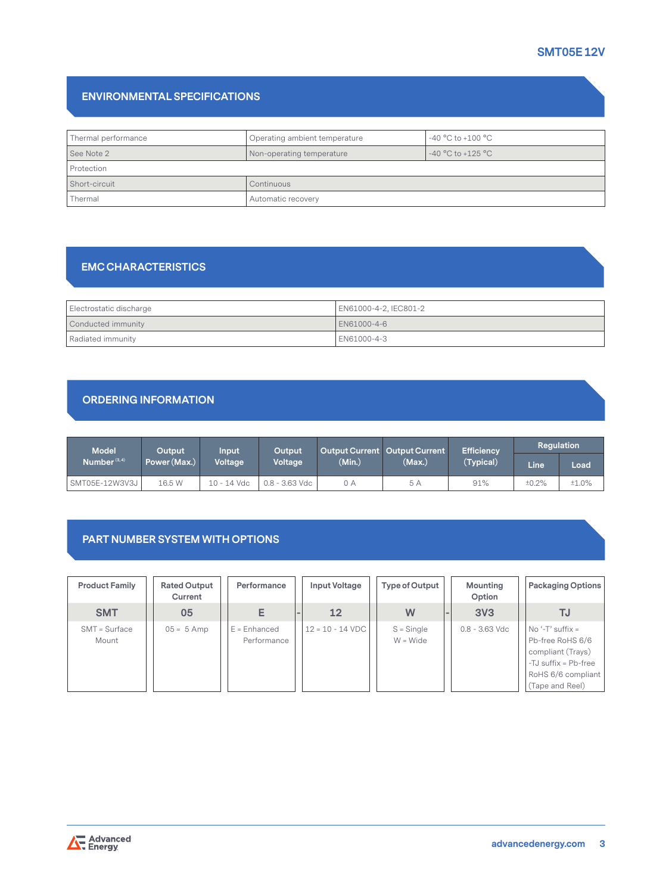# **ENVIRONMENTAL SPECIFICATIONS**

| Thermal performance | $-40 °C$ to $+100 °C$<br>Operating ambient temperature |                       |  |  |
|---------------------|--------------------------------------------------------|-----------------------|--|--|
| See Note 2          | Non-operating temperature                              | $-40 °C$ to $+125 °C$ |  |  |
| Protection          |                                                        |                       |  |  |
| Short-circuit       | Continuous                                             |                       |  |  |
| Thermal             | Automatic recovery                                     |                       |  |  |

# **EMC CHARACTERISTICS**

| Electrostatic discharge | EN61000-4-2, IEC801-2 |
|-------------------------|-----------------------|
| Conducted immunity      | EN61000-4-6           |
| Radiated immunity       | EN61000-4-3           |

# **ORDERING INFORMATION**

| <b>Model</b>    | Output       | Input       | Output         |        | Output Current   Output Current | <b>Efficiency</b> | Regulation |       |
|-----------------|--------------|-------------|----------------|--------|---------------------------------|-------------------|------------|-------|
| Number $(3, 4)$ | Power (Max.) | Voltage     | Voltage        | (Min.) | (Max.)                          | (Typical)         | Line       | Load  |
| SMT05E-12W3V3J  | 16.5 W       | 10 - 14 Vdc | 0.8 - 3.63 Vdc | 0 A    | 5 A                             | 91%               | ±0.2%      | ±1.0% |

### **PART NUMBER SYSTEM WITH OPTIONS**

| <b>Product Family</b>    | <b>Rated Output</b><br>Current | Performance                   | Input Voltage      | Type of Output             | Mounting<br>Option | <b>Packaging Options</b>                                                                                                       |
|--------------------------|--------------------------------|-------------------------------|--------------------|----------------------------|--------------------|--------------------------------------------------------------------------------------------------------------------------------|
| <b>SMT</b>               | 05                             | E                             | 12                 | W                          | 3V <sub>3</sub>    | TJ                                                                                                                             |
| $SMT = Surface$<br>Mount | $05 = 5$ Amp                   | $E =$ Enhanced<br>Performance | $12 = 10 - 14$ VDC | $S =$ Single<br>$W = Wide$ | $0.8 - 3.63$ Vdc   | $No ' - T'$ suffix =<br>Pb-free RoHS 6/6<br>compliant (Trays)<br>-TJ suffix = Pb-free<br>RoHS 6/6 compliant<br>(Tape and Reel) |

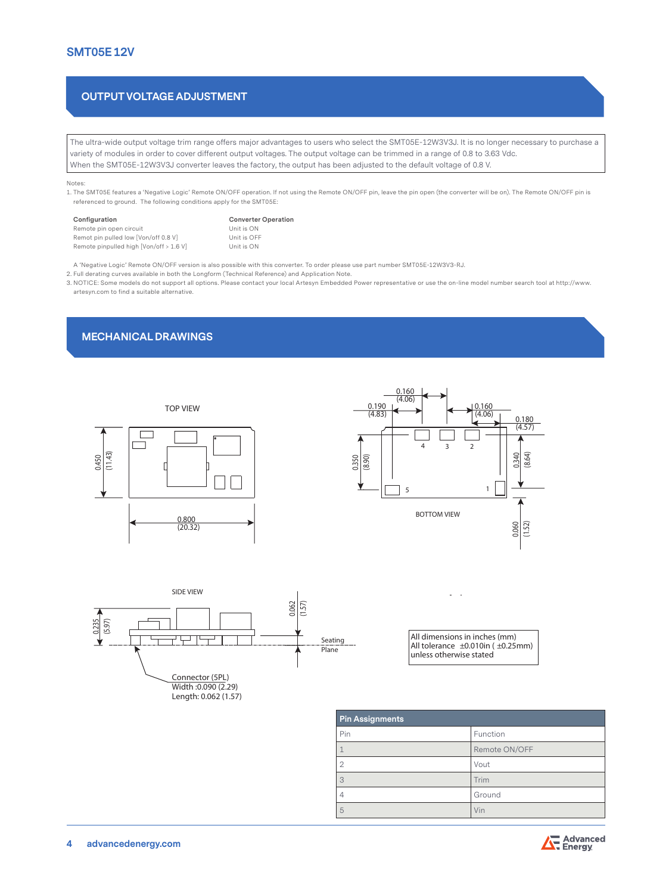### **OUTPUT VOLTAGE ADJUSTMENT**

The ultra-wide output voltage trim range offers major advantages to users who select the SMT05E-12W3V3J. It is no longer necessary to purchase a variety of modules in order to cover different output voltages. The output voltage can be trimmed in a range of 0.8 to 3.63 Vdc. When the SMT05E-12W3V3J converter leaves the factory, the output has been adjusted to the default voltage of 0.8 V.

Notes:

1. The SMT05E features a 'Negative Logic' Remote ON/OFF operation. If not using the Remote ON/OFF pin, leave the pin open (the converter will be on). The Remote ON/OFF pin is referenced to ground. The following conditions apply for the SMT05E:

| Configuration                           | <b>Converter Operation</b> |  |  |  |
|-----------------------------------------|----------------------------|--|--|--|
| Remote pin open circuit                 | Unit is ON                 |  |  |  |
| Remot pin pulled low [Von/off 0.8 V]    | Unit is OFF                |  |  |  |
| Remote pinpulled high [Von/off > 1.6 V] | Unit is ON                 |  |  |  |

A 'Negative Logic' Remote ON/OFF version is also possible with this converter. To order please use part number SMT05E-12W3V3-RJ.

2. Full derating curves available in both the Longform (Technical Reference) and Application Note.

3. NOTICE: Some models do not support all options. Please contact your local Artesyn Embedded Power representative or use the on-line model number search tool at http://www. artesyn.com to find a suitable alternative.

#### **MECHANICAL DRAWINGS**







| <b>Pin Assignments</b> |               |  |  |
|------------------------|---------------|--|--|
| Pin                    | Function      |  |  |
|                        | Remote ON/OFF |  |  |
| $\overline{2}$         | Vout          |  |  |
| 3                      | Trim          |  |  |
| $\overline{4}$         | Ground        |  |  |
| 5                      | Vin           |  |  |

All dimensions in inches (mm) All tolerance ±0.010in ( ±0.25mm) unless otherwise stated

i,  $\ddot{\phantom{a}}$